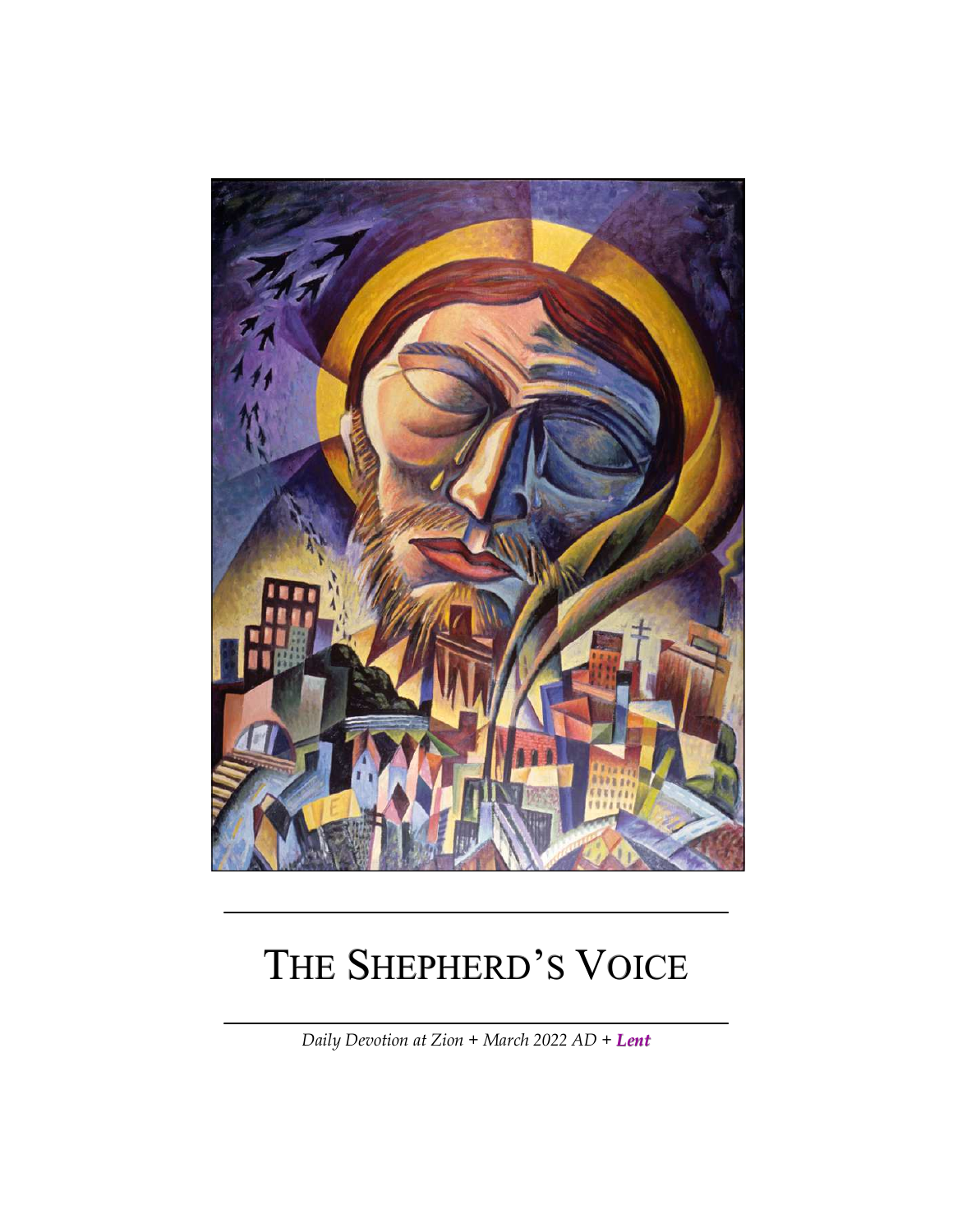

# THE SHEPHERD'S VOICE

*Daily Devotion at Zion + March 2022 AD + Lent*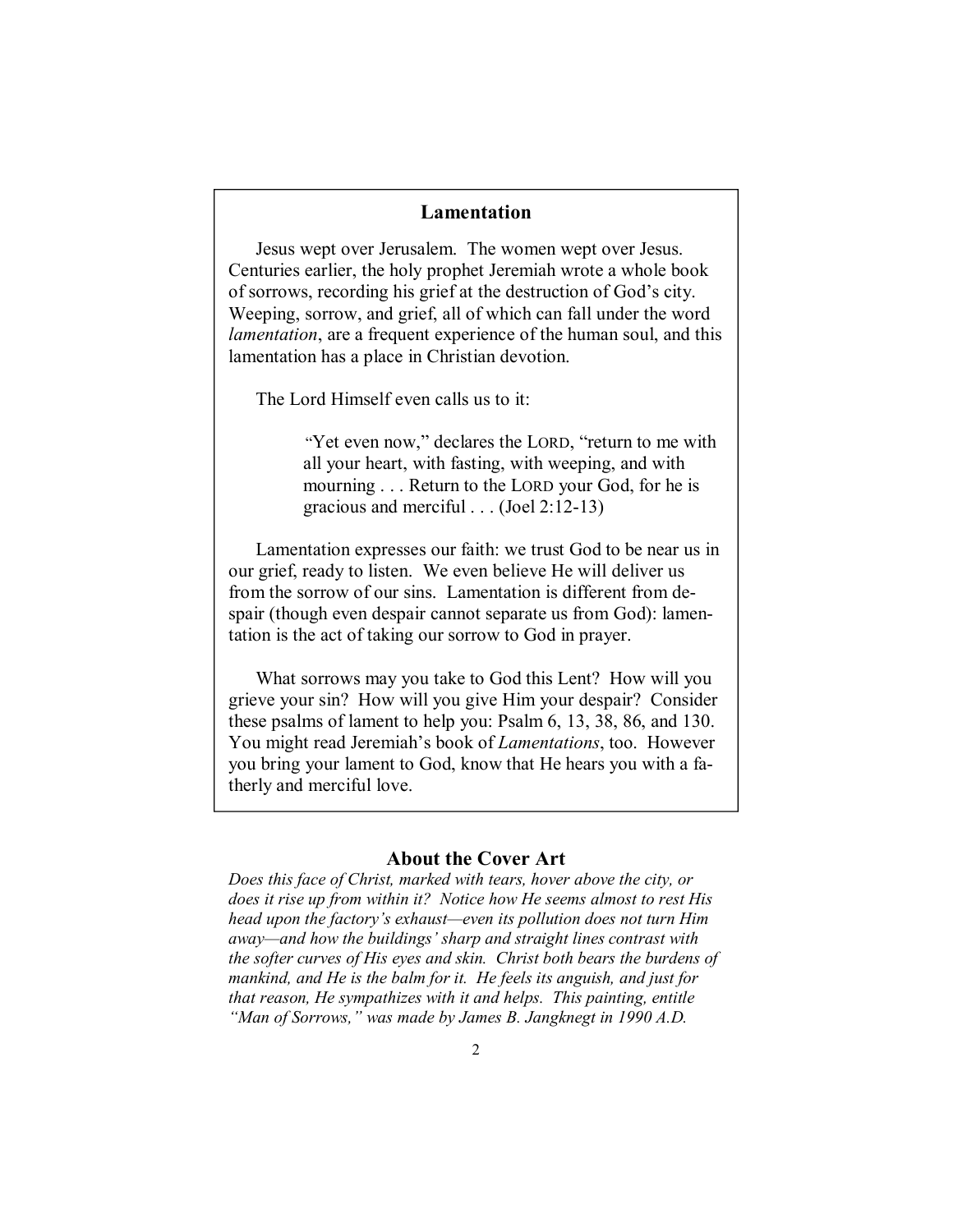#### **Lamentation**

Jesus wept over Jerusalem. The women wept over Jesus. Centuries earlier, the holy prophet Jeremiah wrote a whole book of sorrows, recording his grief at the destruction of God's city. Weeping, sorrow, and grief, all of which can fall under the word *lamentation*, are a frequent experience of the human soul, and this lamentation has a place in Christian devotion.

The Lord Himself even calls us to it:

"Yet even now," declares the LORD, "return to me with all your heart, with fasting, with weeping, and with mourning . . . Return to the LORD your God, for he is gracious and merciful . . . (Joel 2:12-13)

Lamentation expresses our faith: we trust God to be near us in our grief, ready to listen. We even believe He will deliver us from the sorrow of our sins. Lamentation is different from despair (though even despair cannot separate us from God): lamentation is the act of taking our sorrow to God in prayer.

What sorrows may you take to God this Lent? How will you grieve your sin? How will you give Him your despair? Consider these psalms of lament to help you: Psalm 6, 13, 38, 86, and 130. You might read Jeremiah's book of *Lamentations*, too. However you bring your lament to God, know that He hears you with a fatherly and merciful love.

#### **About the Cover Art**

*Does this face of Christ, marked with tears, hover above the city, or does it rise up from within it? Notice how He seems almost to rest His head upon the factory's exhaust—even its pollution does not turn Him away—and how the buildings' sharp and straight lines contrast with the softer curves of His eyes and skin. Christ both bears the burdens of mankind, and He is the balm for it. He feels its anguish, and just for that reason, He sympathizes with it and helps. This painting, entitle "Man of Sorrows," was made by James B. Jangknegt in 1990 A.D.*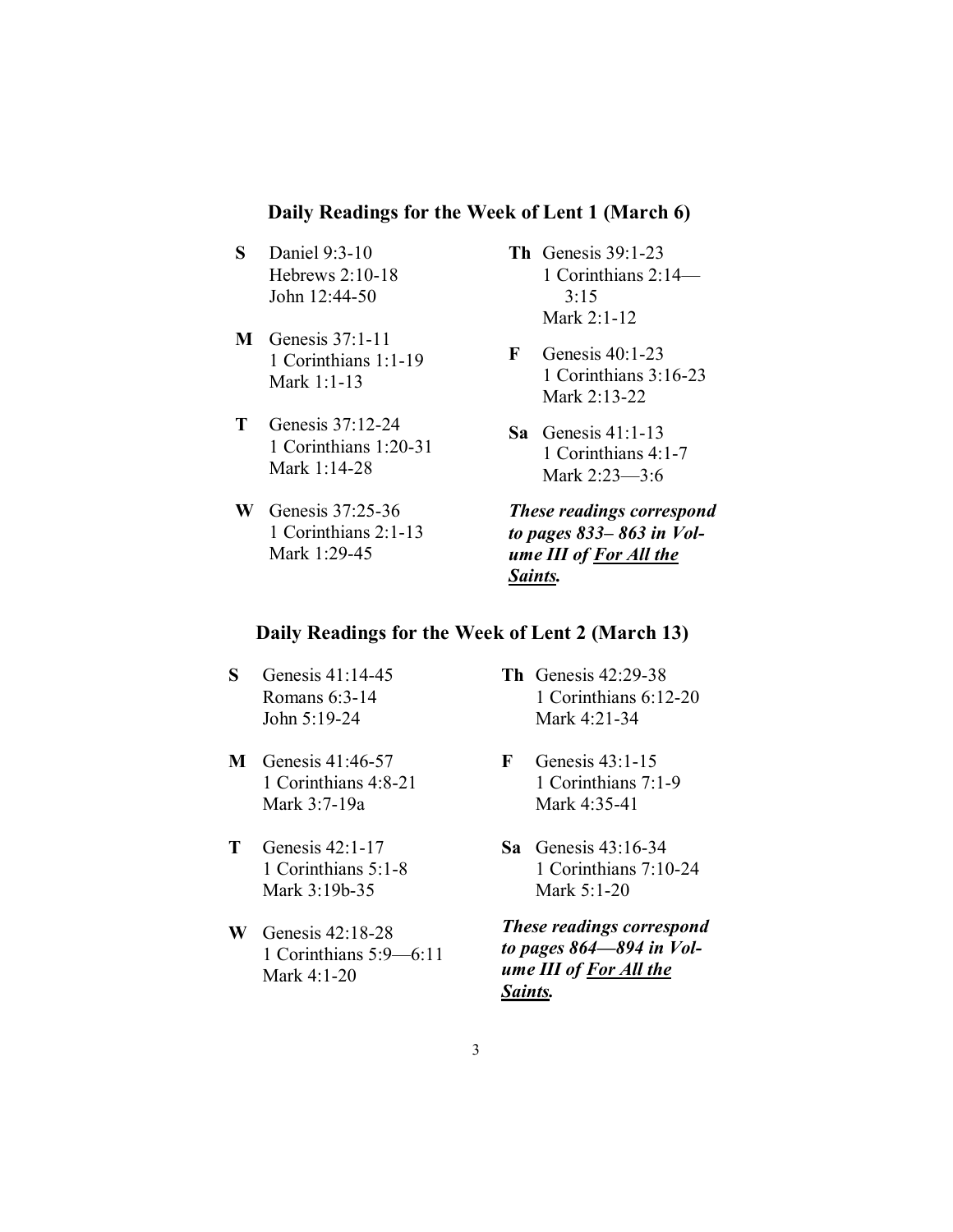## **Daily Readings for the Week of Lent 1 (March 6)**

- **S** Daniel 9:3-10 Hebrews 2:10-18 John 12:44-50
- **M** Genesis 37:1-11 1 Corinthians 1:1-19 Mark 1:1-13
- **T** Genesis 37:12-24 1 Corinthians 1:20-31 Mark 1:14-28
- **W** Genesis 37:25-36 1 Corinthians 2:1-13 Mark 1:29-45
- **Th** Genesis 39:1-23 1 Corinthians 2:14— 3:15 Mark 2:1-12
- **F** Genesis 40:1-23 1 Corinthians 3:16-23 Mark 2:13-22
- **Sa** Genesis 41:1-13 1 Corinthians 4:1-7 Mark 2:23—3:6

*These readings correspond to pages 833– 863 in Volume III of For All the Saints.* 

## **Daily Readings for the Week of Lent 2 (March 13)**

- **S** Genesis 41:14-45 Romans 6:3-14 John 5:19-24
- **M** Genesis 41:46-57 1 Corinthians 4:8-21 Mark 3:7-19a
- **T** Genesis 42:1-17 1 Corinthians 5:1-8 Mark 3:19b-35
- **W** Genesis 42:18-28 1 Corinthians 5:9—6:11 Mark 4:1-20
- **Th** Genesis 42:29-38 1 Corinthians 6:12-20 Mark 4:21-34
- **F** Genesis 43:1-15 1 Corinthians 7:1-9 Mark 4:35-41
- **Sa** Genesis 43:16-34 1 Corinthians 7:10-24 Mark 5:1-20

*These readings correspond to pages 864—894 in Volume III of For All the Saints.*